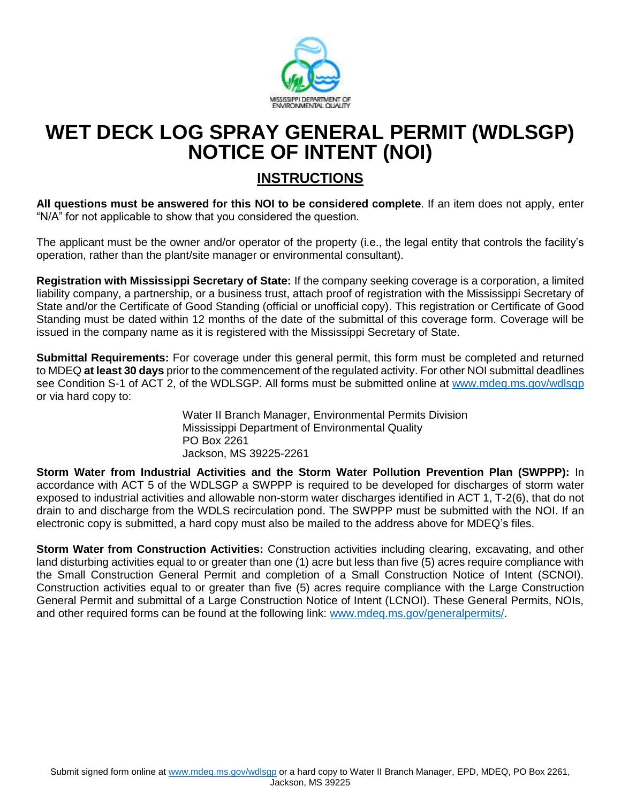

## **WET DECK LOG SPRAY GENERAL PERMIT (WDLSGP) NOTICE OF INTENT (NOI)**

## **INSTRUCTIONS**

**All questions must be answered for this NOI to be considered complete**. If an item does not apply, enter "N/A" for not applicable to show that you considered the question.

The applicant must be the owner and/or operator of the property (i.e., the legal entity that controls the facility's operation, rather than the plant/site manager or environmental consultant).

**Registration with Mississippi Secretary of State:** If the company seeking coverage is a corporation, a limited liability company, a partnership, or a business trust, attach proof of registration with the Mississippi Secretary of State and/or the Certificate of Good Standing (official or unofficial copy). This registration or Certificate of Good Standing must be dated within 12 months of the date of the submittal of this coverage form. Coverage will be issued in the company name as it is registered with the Mississippi Secretary of State.

**Submittal Requirements:** For coverage under this general permit, this form must be completed and returned to MDEQ **at least 30 days** prior to the commencement of the regulated activity. For other NOI submittal deadlines see Condition S-1 of ACT 2, of the WDLSGP. All forms must be submitted online at [www.mdeq.ms.gov/wdlsgp](http://www.mdeq.ms.gov/wdlsgp) or via hard copy to:

> Water II Branch Manager, Environmental Permits Division Mississippi Department of Environmental Quality PO Box 2261 Jackson, MS 39225-2261

**Storm Water from Industrial Activities and the Storm Water Pollution Prevention Plan (SWPPP):** In accordance with ACT 5 of the WDLSGP a SWPPP is required to be developed for discharges of storm water exposed to industrial activities and allowable non-storm water discharges identified in ACT 1, T-2(6), that do not drain to and discharge from the WDLS recirculation pond. The SWPPP must be submitted with the NOI. If an electronic copy is submitted, a hard copy must also be mailed to the address above for MDEQ's files.

**Storm Water from Construction Activities:** Construction activities including clearing, excavating, and other land disturbing activities equal to or greater than one (1) acre but less than five (5) acres require compliance with the Small Construction General Permit and completion of a Small Construction Notice of Intent (SCNOI). Construction activities equal to or greater than five (5) acres require compliance with the Large Construction General Permit and submittal of a Large Construction Notice of Intent (LCNOI). These General Permits, NOIs, and other required forms can be found at the following link: [www.mdeq.ms.gov/generalpermits/.](http://www.mdeq.ms.gov/generalpermits/)